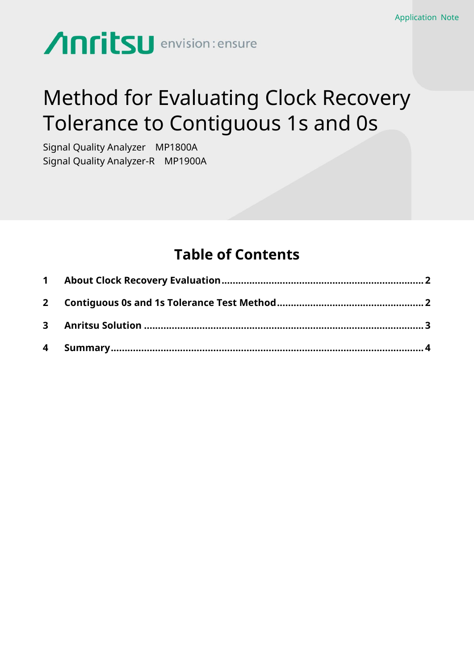# **Anritsu** envision: ensure

## Method for Evaluating Clock Recovery Tolerance to Contiguous 1s and 0s

Signal Quality Analyzer MP1800A Signal Quality Analyzer-R MP1900A

### **Table of Contents**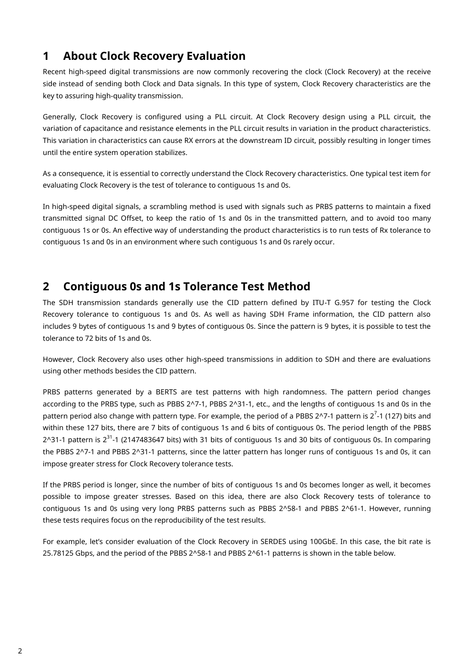### <span id="page-1-0"></span>**1 About Clock Recovery Evaluation**

Recent high-speed digital transmissions are now commonly recovering the clock (Clock Recovery) at the receive side instead of sending both Clock and Data signals. In this type of system, Clock Recovery characteristics are the key to assuring high-quality transmission.

Generally, Clock Recovery is configured using a PLL circuit. At Clock Recovery design using a PLL circuit, the variation of capacitance and resistance elements in the PLL circuit results in variation in the product characteristics. This variation in characteristics can cause RX errors at the downstream ID circuit, possibly resulting in longer times until the entire system operation stabilizes.

As a consequence, it is essential to correctly understand the Clock Recovery characteristics. One typical test item for evaluating Clock Recovery is the test of tolerance to contiguous 1s and 0s.

In high-speed digital signals, a scrambling method is used with signals such as PRBS patterns to maintain a fixed transmitted signal DC Offset, to keep the ratio of 1s and 0s in the transmitted pattern, and to avoid too many contiguous 1s or 0s. An effective way of understanding the product characteristics is to run tests of Rx tolerance to contiguous 1s and 0s in an environment where such contiguous 1s and 0s rarely occur.

#### <span id="page-1-1"></span>**2 Contiguous 0s and 1s Tolerance Test Method**

The SDH transmission standards generally use the CID pattern defined by ITU-T G.957 for testing the Clock Recovery tolerance to contiguous 1s and 0s. As well as having SDH Frame information, the CID pattern also includes 9 bytes of contiguous 1s and 9 bytes of contiguous 0s. Since the pattern is 9 bytes, it is possible to test the tolerance to 72 bits of 1s and 0s.

However, Clock Recovery also uses other high-speed transmissions in addition to SDH and there are evaluations using other methods besides the CID pattern.

PRBS patterns generated by a BERTS are test patterns with high randomness. The pattern period changes according to the PRBS type, such as PBBS 2^7-1, PBBS 2^31-1, etc., and the lengths of contiguous 1s and 0s in the pattern period also change with pattern type. For example, the period of a PBBS 2^7-1 pattern is 2<sup>7</sup>-1 (127) bits and within these 127 bits, there are 7 bits of contiguous 1s and 6 bits of contiguous 0s. The period length of the PBBS 2^31-1 pattern is 2<sup>31</sup>-1 (2147483647 bits) with 31 bits of contiguous 1s and 30 bits of contiguous 0s. In comparing the PBBS 2^7-1 and PBBS 2^31-1 patterns, since the latter pattern has longer runs of contiguous 1s and 0s, it can impose greater stress for Clock Recovery tolerance tests.

If the PRBS period is longer, since the number of bits of contiguous 1s and 0s becomes longer as well, it becomes possible to impose greater stresses. Based on this idea, there are also Clock Recovery tests of tolerance to contiguous 1s and 0s using very long PRBS patterns such as PBBS 2^58-1 and PBBS 2^61-1. However, running these tests requires focus on the reproducibility of the test results.

For example, let's consider evaluation of the Clock Recovery in SERDES using 100GbE. In this case, the bit rate is 25.78125 Gbps, and the period of the PBBS 2^58-1 and PBBS 2^61-1 patterns is shown in the table below.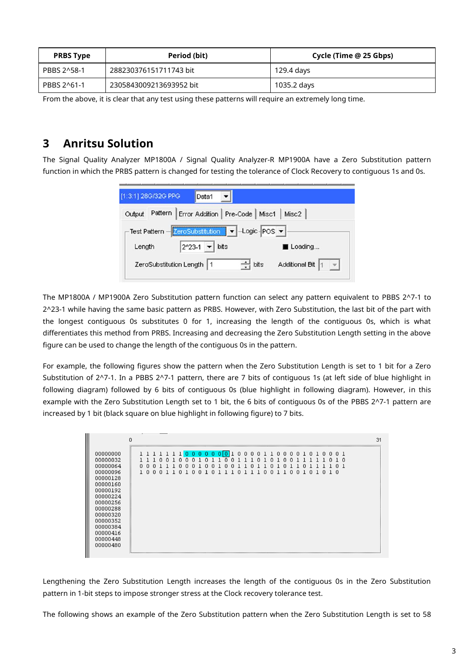| <b>PRBS Type</b> | Period (bit)            | Cycle (Time @ 25 Gbps) |
|------------------|-------------------------|------------------------|
| PBBS 2^58-1      | 288230376151711743 bit  | 129.4 days             |
| PBBS 2^61-1      | 2305843009213693952 bit | 1035.2 days            |

From the above, it is clear that any test using these patterns will require an extremely long time.

### <span id="page-2-0"></span>**3 Anritsu Solution**

The Signal Quality Analyzer MP1800A / Signal Quality Analyzer-R MP1900A have a Zero Substitution pattern function in which the PRBS pattern is changed for testing the tolerance of Clock Recovery to contiguous 1s and 0s.

| [1:3:1] 28G/32G PPG<br>Data1                          |                                                        |
|-------------------------------------------------------|--------------------------------------------------------|
| Pattern   Error Addition   Pre-Code   Misc1<br>Output | Misc2                                                  |
| <b>Test Pattern</b><br>ZeroSubstitution               | $\blacktriangleright$ -Logic-POS $\blacktriangleright$ |
| $2^x 23 - 1$ $\bullet$<br>bits<br>Length              | Loading                                                |
| ZeroSubstitution Length   1                           | Additional Bit<br>$\div$ bits                          |
|                                                       |                                                        |

The MP1800A / MP1900A Zero Substitution pattern function can select any pattern equivalent to PBBS 2^7-1 to 2^23-1 while having the same basic pattern as PRBS. However, with Zero Substitution, the last bit of the part with the longest contiguous 0s substitutes 0 for 1, increasing the length of the contiguous 0s, which is what differentiates this method from PRBS. Increasing and decreasing the Zero Substitution Length setting in the above figure can be used to change the length of the contiguous 0s in the pattern.

For example, the following figures show the pattern when the Zero Substitution Length is set to 1 bit for a Zero Substitution of 2^7-1. In a PBBS 2^7-1 pattern, there are 7 bits of contiguous 1s (at left side of blue highlight in following diagram) followed by 6 bits of contiguous 0s (blue highlight in following diagram). However, in this example with the Zero Substitution Length set to 1 bit, the 6 bits of contiguous 0s of the PBBS 2^7-1 pattern are increased by 1 bit (black square on blue highlight in following figure) to 7 bits.

|                                                                                                                                                                                              | 0                                                                                                                                                                                                                                            | 31 |
|----------------------------------------------------------------------------------------------------------------------------------------------------------------------------------------------|----------------------------------------------------------------------------------------------------------------------------------------------------------------------------------------------------------------------------------------------|----|
| 00000000<br>00000032<br>00000064<br>00000096<br>00000128<br>00000160<br>00000192<br>00000224<br>00000256<br>00000288<br>00000320<br>00000352<br>00000384<br>00000416<br>00000448<br>00000480 | 000000000100001100001010001<br>n<br>-0<br>n<br>n<br>n 1<br>n<br>n<br>n<br>п<br>п<br>п<br>п<br>1 n<br>0<br>1 <sub>0</sub><br>0<br>0<br>n<br>n<br>0<br>0<br>0<br>0<br>0<br>-1.<br>0<br>n<br>-1<br>л.<br>n<br>-1<br>-1-<br>-1<br>-1<br>-1<br>-1 |    |
|                                                                                                                                                                                              |                                                                                                                                                                                                                                              |    |

Lengthening the Zero Substitution Length increases the length of the contiguous 0s in the Zero Substitution pattern in 1-bit steps to impose stronger stress at the Clock recovery tolerance test.

The following shows an example of the Zero Substitution pattern when the Zero Substitution Length is set to 58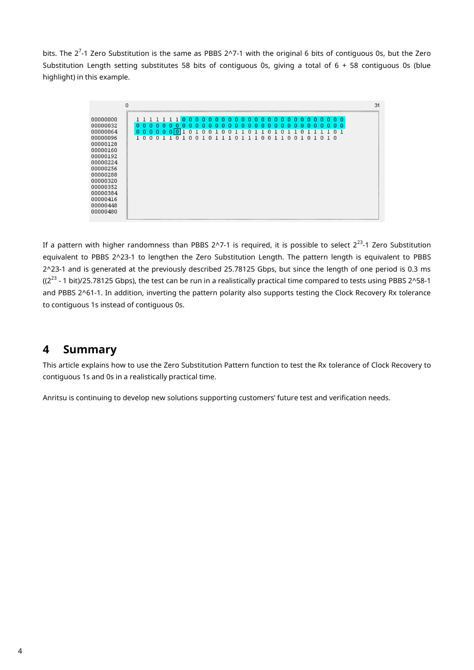bits. The 2<sup>7</sup>-1 Zero Substitution is the same as PBBS 2^7-1 with the original 6 bits of contiguous 0s, but the Zero Substitution Length setting substitutes 58 bits of contiguous 0s, giving a total of 6 + 58 contiguous 0s (blue highlight) in this example.

|                                                                                                                                                                                              | 0 |   |   |   |  |    |   |   |   |   |   |   |   |          |    |   |        |    |   |   |    |   |    |   |                |  |  | 31 |
|----------------------------------------------------------------------------------------------------------------------------------------------------------------------------------------------|---|---|---|---|--|----|---|---|---|---|---|---|---|----------|----|---|--------|----|---|---|----|---|----|---|----------------|--|--|----|
| 00000000<br>00000032<br>00000064<br>00000096<br>00000128<br>00000160<br>00000192<br>00000224<br>00000256<br>00000288<br>00000320<br>00000352<br>00000384<br>00000416<br>00000448<br>00000480 |   | n | o | ш |  | '' | n | n | n | n | n | n | n | n<br>-1. | -1 | 0 | n<br>0 | -1 | 0 | n | л. | n | -1 | n | 1 <sub>0</sub> |  |  |    |

If a pattern with higher randomness than PBBS 2^7-1 is required, it is possible to select 2 $^{23}$ -1 Zero Substitution equivalent to PBBS 2^23-1 to lengthen the Zero Substitution Length. The pattern length is equivalent to PBBS 2^23-1 and is generated at the previously described 25.78125 Gbps, but since the length of one period is 0.3 ms ((2<sup>23</sup> - 1 bit)/25.78125 Gbps), the test can be run in a realistically practical time compared to tests using PBBS 2^58-1 and PBBS 2^61-1. In addition, inverting the pattern polarity also supports testing the Clock Recovery Rx tolerance to contiguous 1s instead of contiguous 0s.

#### <span id="page-3-0"></span>**4 Summary**

This article explains how to use the Zero Substitution Pattern function to test the Rx tolerance of Clock Recovery to contiguous 1s and 0s in a realistically practical time.

Anritsu is continuing to develop new solutions supporting customers' future test and verification needs.